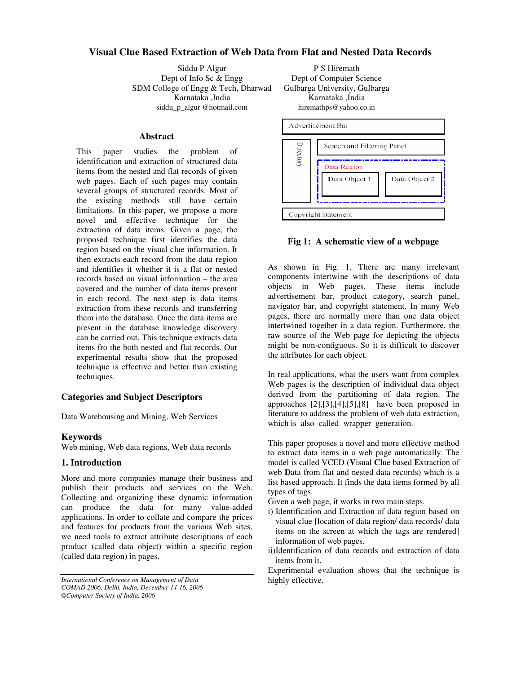# **Visual Clue Based Extraction of Web Data from Flat and Nested Data Records**

Siddu P Algur Dept of Info Sc & Engg SDM College of Engg & Tech, Dharwad Karnataka ,India siddu\_p\_algur @hotmail.com

## **Abstract**

This paper studies the problem of identification and extraction of structured data items from the nested and flat records of given web pages. Each of such pages may contain several groups of structured records. Most of the existing methods still have certain limitations. In this paper, we propose a more novel and effective technique for the extraction of data items. Given a page, the proposed technique first identifies the data region based on the visual clue information. It then extracts each record from the data region and identifies it whether it is a flat or nested records based on visual information – the area covered and the number of data items present in each record. The next step is data items extraction from these records and transferring them into the database. Once the data items are present in the database knowledge discovery can be carried out. This technique extracts data items fro the both nested and flat records. Our experimental results show that the proposed technique is effective and better than existing techniques.

## **Categories and Subject Descriptors**

Data Warehousing and Mining, Web Services

#### **Keywords**

Web mining, Web data regions, Web data records

# **1. Introduction**

More and more companies manage their business and publish their products and services on the Web. Collecting and organizing these dynamic information can produce the data for many value-added applications. In order to collate and compare the prices and features for products from the various Web sites, we need tools to extract attribute descriptions of each product (called data object) within a specific region (called data region) in pages.

*International Conference on Management of Data* highly effective. *COMAD 2006, Delhi, India, December 14-16, 2006 ©Computer Society of India, 2006*

P S Hiremath Dept of Computer Science Gulbarga University, Gulbarga Karnataka ,India hiremathps@yahoo.co.in



**Fig 1: A schematic view of a webpage**

As shown in Fig. 1, There are many irrelevant components intertwine with the descriptions of data objects in Web pages. These items include advertisement bar, product category, search panel, navigator bar, and copyright statement. In many Web pages, there are normally more than one data object intertwined together in a data region. Furthermore, the raw source of the Web page for depicting the objects might be non-contiguous. So it is difficult to discover the attributes for each object.

In real applications, what the users want from complex Web pages is the description of individual data object derived from the partitioning of data region. The approaches [2],[3],[4],[5],[8] have been proposed in literature to address the problem of web data extraction, which is also called wrapper generation.

This paper proposes a novel and more effective method to extract data items in a web page automatically. The model is called VCED (**V**isual **C**lue based **E**xtraction of web **D**ata from flat and nested data records) which is a list based approach. It finds the data items formed by all types of tags.

- Given a web page, it works in two main steps.
- i) Identification and Extraction of data region based on visual clue [location of data region/ data records/ data items on the screen at which the tags are rendered] information of web pages.
- ii)Identification of data records and extraction of data items from it.
- Experimental evaluation shows that the technique is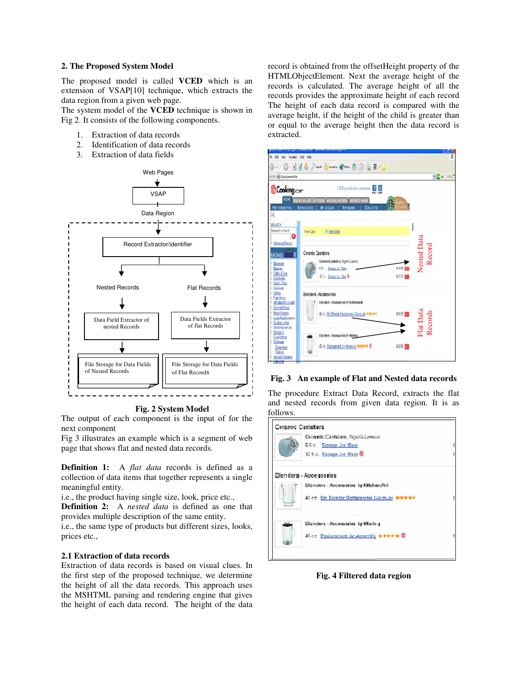#### **2. The Proposed System Model**

The proposed model is called **VCED** which is an extension of VSAP[10] technique, which extracts the data region from a given web page.

The system model of the **VCED** technique is shown in Fig 2. It consists of the following components.

- 1. Extraction of data records
- 2. Identification of data records
- 3. Extraction of data fields



**Fig. 2 System Model**

The output of each component is the input of for the next component

Fig 3 illustrates an example which is a segment of web page that shows flat and nested data records.

**Definition 1:** A *flat data* records is defined as a collection of data items that together represents a single meaningful entity.

i.e., the product having single size, look, price etc.,

**Definition 2:** A *nested data* is defined as one that provides multiple description of the same entity.

i.e., the same type of products but different sizes, looks, prices etc.,

#### **2.1 Extraction of data records**

Extraction of data records is based on visual clues. In the first step of the proposed technique, we determine the height of all the data records. This approach uses the MSHTML parsing and rendering engine that gives the height of each data record. The height of the data

record is obtained from the offsetHeight property of the HTMLObjectElement. Next the average height of the records is calculated. The average height of all the records provides the approximate height of each record The height of each data record is compared with the average height, if the height of the child is greater than or equal to the average height then the data record is extracted.

|                                                                                                                                                                                                                                                                          | <b>CONTYS NU pre-Lance are - AU PACE INFORMATION</b>                                                        |                                                                                                                                                          |                        |                       |
|--------------------------------------------------------------------------------------------------------------------------------------------------------------------------------------------------------------------------------------------------------------------------|-------------------------------------------------------------------------------------------------------------|----------------------------------------------------------------------------------------------------------------------------------------------------------|------------------------|-----------------------|
| Fe Elit Ver 'avoits lois Help                                                                                                                                                                                                                                            |                                                                                                             |                                                                                                                                                          |                        |                       |
|                                                                                                                                                                                                                                                                          |                                                                                                             | 0 12 - 0 - 8 8 10 Part of Davis (1) 1945 10 2 13 8 - 1                                                                                                   |                        |                       |
| abas @Glyplywwith                                                                                                                                                                                                                                                        |                                                                                                             |                                                                                                                                                          |                        | $V = 1002$            |
| @Cooking.com<br><b>ROM</b>                                                                                                                                                                                                                                               | PROJEVAJES GIFIDEAS WODIAG REGIEV                                                                           | 100% so slotion guarantee 2<br><b>REIPES MORE</b>                                                                                                        |                        |                       |
| FIEL NEWSETTAS<br>⋥                                                                                                                                                                                                                                                      | Burno Solde   <br><b>Nr</b> Joben                                                                           | <b>Converts</b><br>TOP ERANGE                                                                                                                            | hafa<br>troude         |                       |
| <b>SEARCH</b><br>Keyword or hand<br>O<br><b>Adviced Service</b><br><b>BROWSE</b><br><b>Boavag</b><br>Basse<br>e Cofee & Tea<br><b>Caédods</b><br>Dado Trils<br><b>E</b> Cadovage                                                                                         | <b>B</b> lew time<br>Viw Oily:<br>C-ramic Canisters<br><b>Edit Strau Jan file</b><br>12.5x, Goran Jac Due B | CeramicCaniders, Ryab Lassou                                                                                                                             | \$356 TM<br><b>都久面</b> | Nested Data<br>Record |
| - Calen<br><b>Funishing</b><br><b>Eld Bishts 2586</b><br>E Gumetfood<br><b>I</b> Hane Kepine<br>LigeAplaneswir<br>· Custon Lying<br>Small Automas<br>Storage 3<br>Coarization<br>: Tilleuse<br><b><i><u>Creenere</u></i></b><br><b>Flateran</b><br><u>Vacum Cleaners</u> | Blenders - Accessintes                                                                                      | Lienier: Ausselis In Kikhenkid<br>Dict: Bir Blinder Fedationed Gassular Instituted<br>Clenien - Amesodes In Wathy<br>Oko Relatement In Assembly ###### Q | \$696 000<br>税税量       | Flat Data<br>Records  |

### **Fig. 3 An example of Flat and Nested data records**

The procedure Extract Data Record, extracts the flat and nested records from given data region. It is as follows.



**Fig. 4 Filtered data region**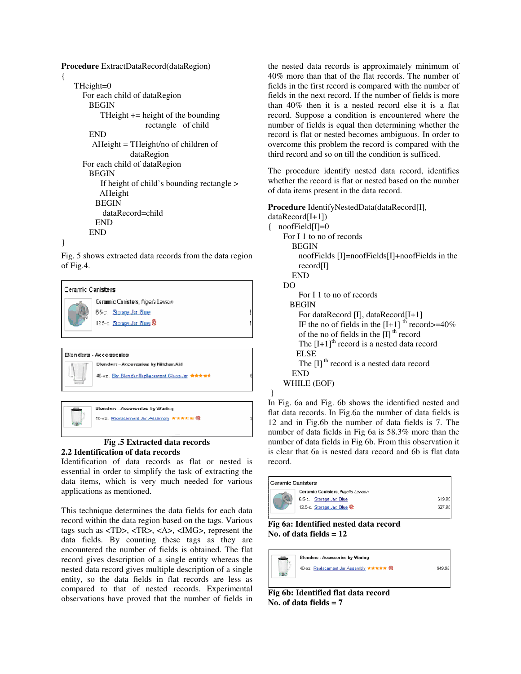```
Procedure ExtractDataRecord(dataRegion)
{
   THeight=0
     For each child of dataRegion
       BEGIN
          THeight += height of the bounding
                      rectangle of child
       END
        AHeight = THeight/no of children of
                  dataRegion
     For each child of dataRegion
       BEGIN
          If height of child's bounding rectangle >
          AHeight
         BEGIN
           dataRecord=child
         END
       END
```

```
}
```
Fig. 5 shows extracted data records from the data region of Fig.4.



40-02. Eta Elandiar Replacement Glass Jar 会会会会计



## **Fig .5 Extracted data records 2.2 Identification of data records**

Identification of data records as flat or nested is essential in order to simplify the task of extracting the data items, which is very much needed for various applications as mentioned.

This technique determines the data fields for each data record within the data region based on the tags. Various tags such as <TD>, <TR>, <A>, <IMG>, represent the data fields. By counting these tags as they are encountered the number of fields is obtained. The flat record gives description of a single entity whereas the nested data record gives multiple description of a single entity, so the data fields in flat records are less as compared to that of nested records. Experimental observations have proved that the number of fields in

the nested data records is approximately minimum of 40% more than that of the flat records. The number of fields in the first record is compared with the number of fields in the next record. If the number of fields is more than 40% then it is a nested record else it is a flat record. Suppose a condition is encountered where the number of fields is equal then determining whether the record is flat or nested becomes ambiguous. In order to overcome this problem the record is compared with the third record and so on till the condition is sufficed.

The procedure identify nested data record, identifies whether the record is flat or nested based on the number of data items present in the data record.

**Procedure** IdentifyNestedData(dataRecord[I],

| $dataRecord[I+1])$                                               |
|------------------------------------------------------------------|
| $noofField[I]=0$                                                 |
| For I 1 to no of records                                         |
| <b>BEGIN</b>                                                     |
| noofFields $[I]$ =noofFields $[I]$ +noofFields in the            |
| record <sup>[1]</sup>                                            |
| <b>END</b>                                                       |
| DO                                                               |
| For I 1 to no of records                                         |
| <b>BEGIN</b>                                                     |
| For dataRecord [I], dataRecord[I+1]                              |
| IF the no of fields in the $[I+1]$ <sup>th</sup> record $>=$ 40% |
| of the no of fields in the $[I]$ <sup>th</sup> record            |
| The $[I+1]$ <sup>th</sup> record is a nested data record         |
| <b>ELSE</b>                                                      |
| The $[I]$ <sup>th</sup> record is a nested data record           |
| <b>END</b>                                                       |
| WHILE (EOF)                                                      |
|                                                                  |

In Fig. 6a and Fig. 6b shows the identified nested and flat data records. In Fig.6a the number of data fields is 12 and in Fig.6b the number of data fields is 7. The number of data fields in Fig 6a is 58.3% more than the number of data fields in Fig 6b. From this observation it is clear that 6a is nested data record and 6b is flat data record.

| <b>Ceramic Canisters</b> |                                   |         |  |  |
|--------------------------|-----------------------------------|---------|--|--|
|                          | Ceramic Canisters, Nigella Lawson |         |  |  |
|                          | 6.5-c. Storage Jar: Blue          | \$19.95 |  |  |
|                          | 12.5-c. Storage Jar. Blue         | \$27.95 |  |  |
|                          |                                   |         |  |  |

**Fig 6a: Identified nested data record No. of data fields = 12**

}



**Fig 6b: Identified flat data record No. of data fields = 7**